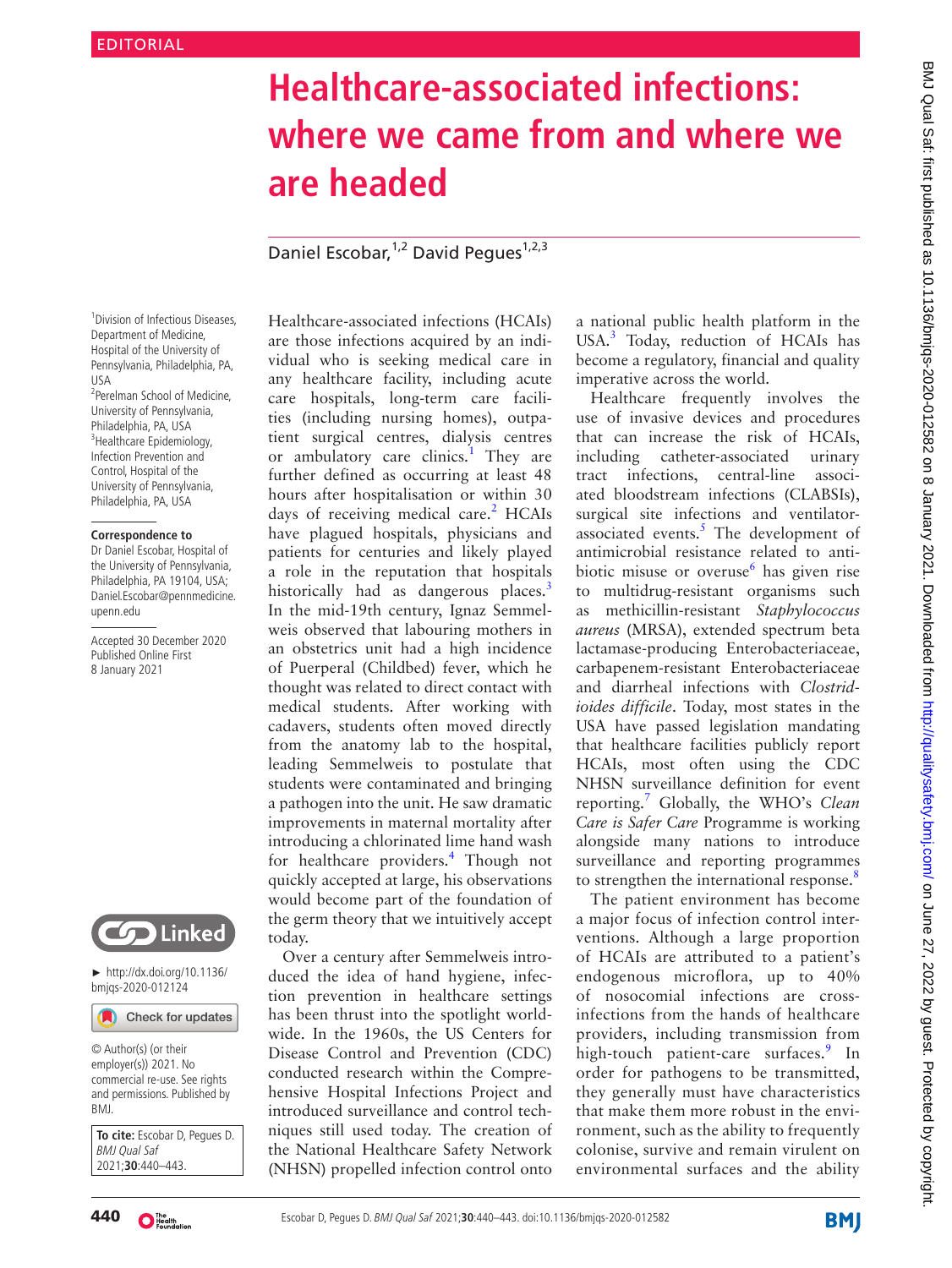# **Healthcare-associated infections: where we came from and where we are headed**

Daniel Escobar, <sup>1,2</sup> David Peques<sup>1,2,3</sup>

1 Division of Infectious Diseases, Department of Medicine, Hospital of the University of Pennsylvania, Philadelphia, PA, USA 2 Perelman School of Medicine, University of Pennsylvania, Philadelphia, PA, USA <sup>3</sup>Healthcare Epidemiology, Infection Prevention and Control, Hospital of the University of Pennsylvania, Philadelphia, PA, USA

#### **Correspondence to**

Dr Daniel Escobar, Hospital of the University of Pennsylvania, Philadelphia, PA 19104, USA; Daniel.Escobar@pennmedicine. upenn.edu

Accepted 30 December 2020 Published Online First 8 January 2021



► [http://dx.doi.org/10.1136/](http://dx.doi.org/10.1136/bmjqs-2020-012124) [bmjqs-2020-012124](http://dx.doi.org/10.1136/bmjqs-2020-012124)

Check for updates

© Author(s) (or their employer(s)) 2021. No commercial re-use. See rights and permissions. Published by BMJ.

**To cite:** Escobar D, Pegues D. BMJ Qual Saf 2021;**30**:440–443.

Healthcare-associated infections (HCAIs) are those infections acquired by an individual who is seeking medical care in any healthcare facility, including acute care hospitals, long-term care facilities (including nursing homes), outpatient surgical centres, dialysis centres or ambulatory care clinics.<sup>1</sup> They are further defined as occurring at least 48 hours after hospitalisation or within 30 days of receiving medical care.<sup>2</sup> HCAIs have plagued hospitals, physicians and patients for centuries and likely played a role in the reputation that hospitals historically had as dangerous places.<sup>[3](#page-2-2)</sup> In the mid-19th century, Ignaz Semmelweis observed that labouring mothers in an obstetrics unit had a high incidence of Puerperal (Childbed) fever, which he thought was related to direct contact with medical students. After working with cadavers, students often moved directly from the anatomy lab to the hospital, leading Semmelweis to postulate that students were contaminated and bringing a pathogen into the unit. He saw dramatic improvements in maternal mortality after introducing a chlorinated lime hand wash for healthcare providers.<sup>[4](#page-2-3)</sup> Though not quickly accepted at large, his observations would become part of the foundation of the germ theory that we intuitively accept today.

Over a century after Semmelweis introduced the idea of hand hygiene, infection prevention in healthcare settings has been thrust into the spotlight worldwide. In the 1960s, the US Centers for Disease Control and Prevention (CDC) conducted research within the Comprehensive Hospital Infections Project and introduced surveillance and control techniques still used today. The creation of the National Healthcare Safety Network (NHSN) propelled infection control onto

a national public health platform in the USA.<sup>3</sup> Today, reduction of HCAIs has become a regulatory, financial and quality imperative across the world.

Healthcare frequently involves the use of invasive devices and procedures that can increase the risk of HCAIs, including catheter-associated urinary tract infections, central-line associated bloodstream infections (CLABSIs), surgical site infections and ventilator-associated events.<sup>[5](#page-2-4)</sup> The development of antimicrobial resistance related to antibiotic misuse or overuse<sup>6</sup> has given rise to multidrug-resistant organisms such as methicillin-resistant *Staphylococcus aureus* (MRSA), extended spectrum beta lactamase-producing Enterobacteriaceae, carbapenem-resistant Enterobacteriaceae and diarrheal infections with *Clostridioides difficile*. Today, most states in the USA have passed legislation mandating that healthcare facilities publicly report HCAIs, most often using the CDC NHSN surveillance definition for event reporting.[7](#page-2-6) Globally, the WHO's *Clean Care is Safer Care* Programme is working alongside many nations to introduce surveillance and reporting programmes to strengthen the international response.<sup>[8](#page-2-7)</sup>

The patient environment has become a major focus of infection control interventions. Although a large proportion of HCAIs are attributed to a patient's endogenous microflora, up to 40% of nosocomial infections are crossinfections from the hands of healthcare providers, including transmission from high-touch patient-care surfaces.<sup>[9](#page-2-8)</sup> In order for pathogens to be transmitted, they generally must have characteristics that make them more robust in the environment, such as the ability to frequently colonise, survive and remain virulent on environmental surfaces and the ability

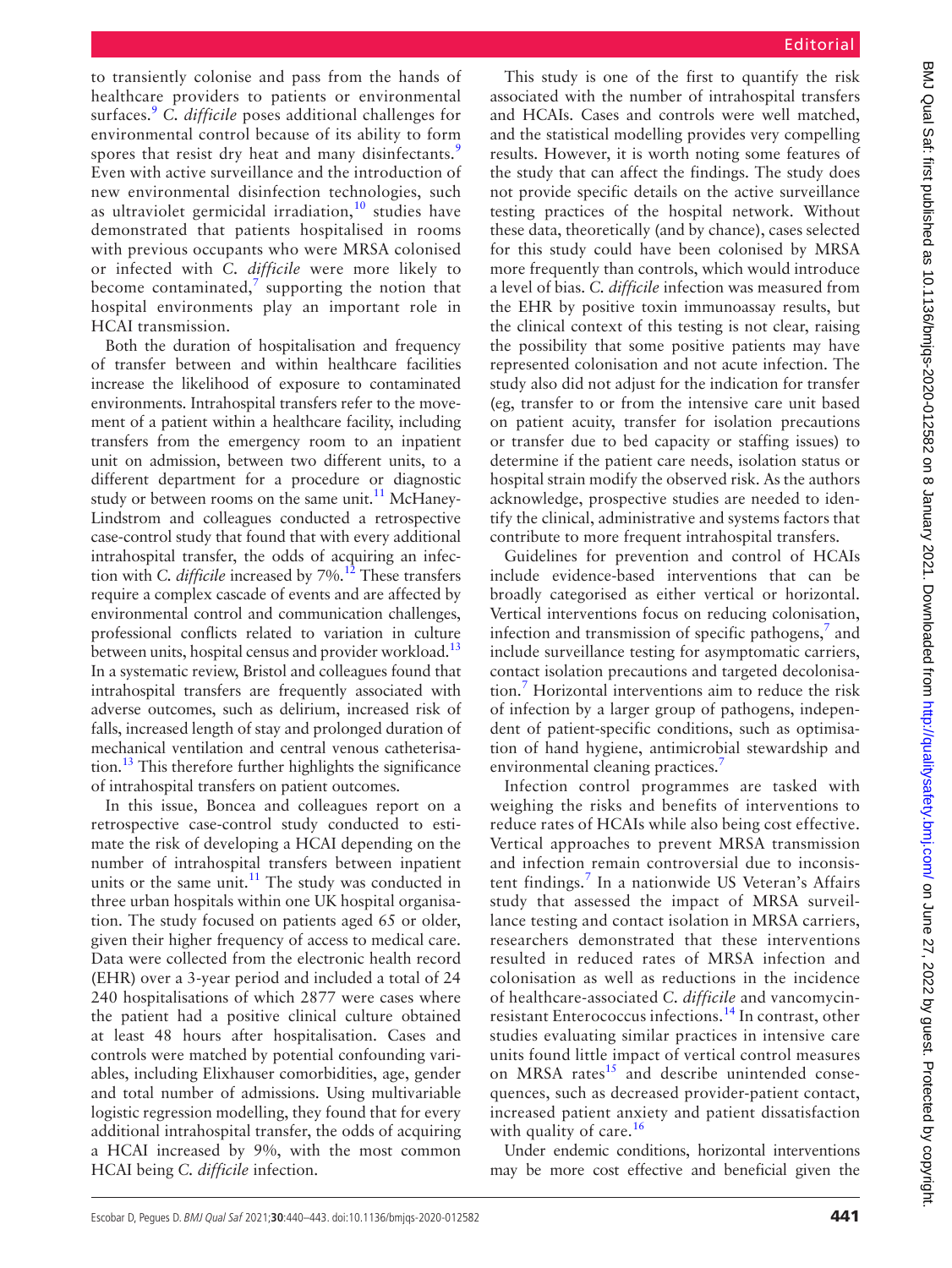to transiently colonise and pass from the hands of healthcare providers to patients or environmental surfaces.[9](#page-2-8) *C. difficile* poses additional challenges for environmental control because of its ability to form spores that resist dry heat and many disinfectants.<sup>[9](#page-2-8)</sup> Even with active surveillance and the introduction of new environmental disinfection technologies, such as ultraviolet germicidal irradiation, $10$  studies have demonstrated that patients hospitalised in rooms with previous occupants who were MRSA colonised or infected with *C. difficile* were more likely to become contaminated,<sup>[7](#page-2-6)</sup> supporting the notion that hospital environments play an important role in

Both the duration of hospitalisation and frequency of transfer between and within healthcare facilities increase the likelihood of exposure to contaminated environments. Intrahospital transfers refer to the movement of a patient within a healthcare facility, including transfers from the emergency room to an inpatient unit on admission, between two different units, to a different department for a procedure or diagnostic study or between rooms on the same unit.<sup>11</sup> McHaney-Lindstrom and colleagues conducted a retrospective case-control study that found that with every additional intrahospital transfer, the odds of acquiring an infection with *C. difficile* increased by 7%.<sup>12</sup> These transfers require a complex cascade of events and are affected by environmental control and communication challenges, professional conflicts related to variation in culture between units, hospital census and provider workload.<sup>13</sup> In a systematic review, Bristol and colleagues found that intrahospital transfers are frequently associated with adverse outcomes, such as delirium, increased risk of falls, increased length of stay and prolonged duration of mechanical ventilation and central venous catheterisa- $\frac{13}{13}$  This therefore further highlights the significance of intrahospital transfers on patient outcomes.

HCAI transmission.

In this issue, Boncea and colleagues report on a retrospective case-control study conducted to estimate the risk of developing a HCAI depending on the number of intrahospital transfers between inpatient units or the same unit. $11$  The study was conducted in three urban hospitals within one UK hospital organisation. The study focused on patients aged 65 or older, given their higher frequency of access to medical care. Data were collected from the electronic health record (EHR) over a 3-year period and included a total of 24 240 hospitalisations of which 2877 were cases where the patient had a positive clinical culture obtained at least 48 hours after hospitalisation. Cases and controls were matched by potential confounding variables, including Elixhauser comorbidities, age, gender and total number of admissions. Using multivariable logistic regression modelling, they found that for every additional intrahospital transfer, the odds of acquiring a HCAI increased by 9%, with the most common HCAI being *C. difficile* infection.

This study is one of the first to quantify the risk associated with the number of intrahospital transfers and HCAIs. Cases and controls were well matched, and the statistical modelling provides very compelling results. However, it is worth noting some features of the study that can affect the findings. The study does not provide specific details on the active surveillance testing practices of the hospital network. Without these data, theoretically (and by chance), cases selected for this study could have been colonised by MRSA more frequently than controls, which would introduce a level of bias. *C. difficile* infection was measured from the EHR by positive toxin immunoassay results, but the clinical context of this testing is not clear, raising the possibility that some positive patients may have represented colonisation and not acute infection. The study also did not adjust for the indication for transfer (eg, transfer to or from the intensive care unit based on patient acuity, transfer for isolation precautions or transfer due to bed capacity or staffing issues) to determine if the patient care needs, isolation status or hospital strain modify the observed risk. As the authors acknowledge, prospective studies are needed to identify the clinical, administrative and systems factors that contribute to more frequent intrahospital transfers.

Guidelines for prevention and control of HCAIs include evidence-based interventions that can be broadly categorised as either vertical or horizontal. Vertical interventions focus on reducing colonisation, infection and transmission of specific pathogens, $\frac{7}{7}$  $\frac{7}{7}$  $\frac{7}{7}$  and include surveillance testing for asymptomatic carriers, contact isolation precautions and targeted decolonisation.[7](#page-2-6) Horizontal interventions aim to reduce the risk of infection by a larger group of pathogens, independent of patient-specific conditions, such as optimisation of hand hygiene, antimicrobial stewardship and environmental cleaning practices.<sup>[7](#page-2-6)</sup>

Infection control programmes are tasked with weighing the risks and benefits of interventions to reduce rates of HCAIs while also being cost effective. Vertical approaches to prevent MRSA transmission and infection remain controversial due to inconsis-tent findings.<sup>[7](#page-2-6)</sup> In a nationwide US Veteran's Affairs study that assessed the impact of MRSA surveillance testing and contact isolation in MRSA carriers, researchers demonstrated that these interventions resulted in reduced rates of MRSA infection and colonisation as well as reductions in the incidence of healthcare-associated *C. difficile* and vancomycinresistant Enterococcus infections.[14](#page-2-13) In contrast, other studies evaluating similar practices in intensive care units found little impact of vertical control measures on MRSA rates $15$  and describe unintended consequences, such as decreased provider-patient contact, increased patient anxiety and patient dissatisfaction with quality of care.<sup>[16](#page-2-15)</sup>

Under endemic conditions, horizontal interventions may be more cost effective and beneficial given the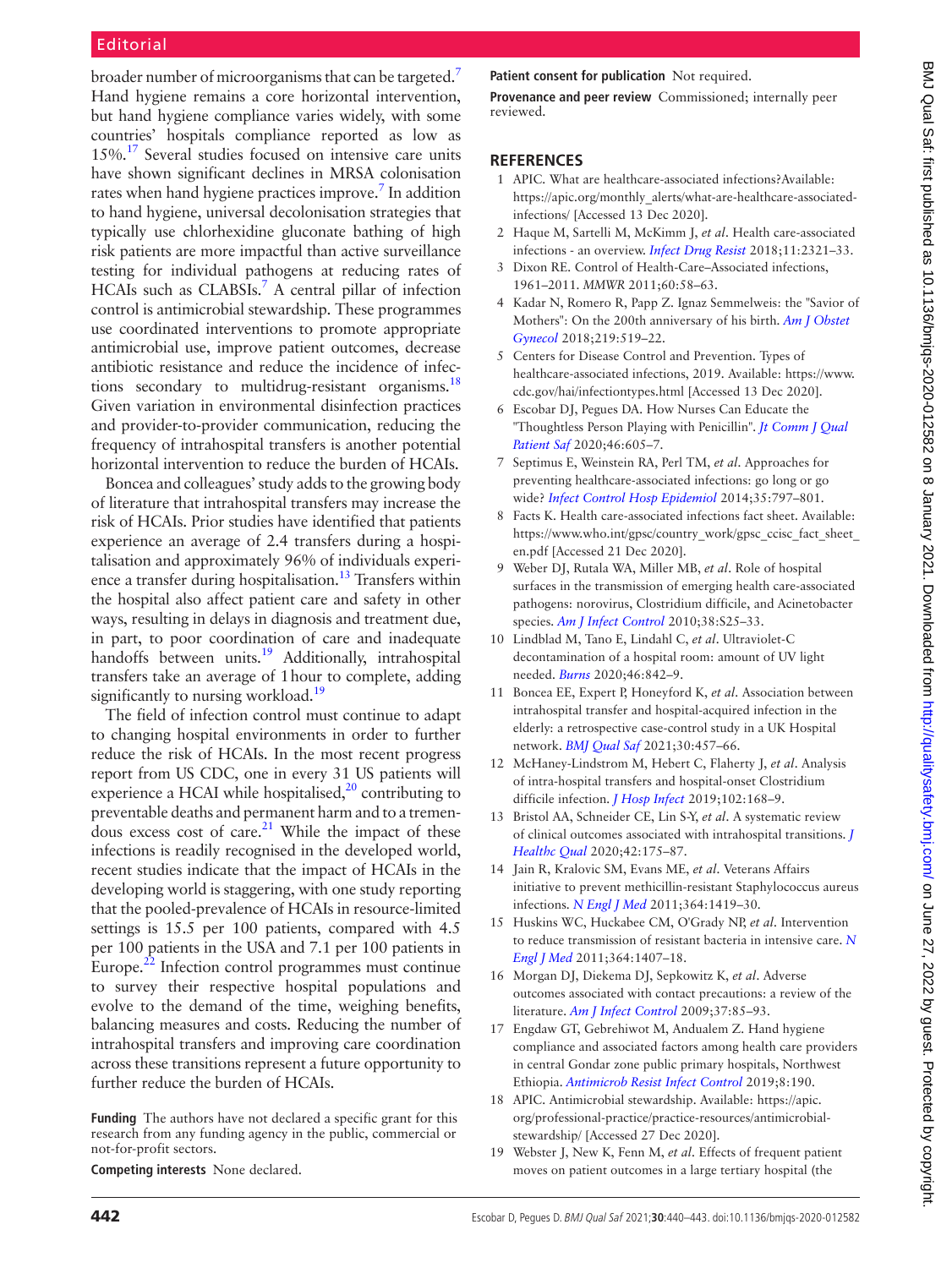## Editorial

broader number of microorganisms that can be targeted.<sup>7</sup> Hand hygiene remains a core horizontal intervention, but hand hygiene compliance varies widely, with some countries' hospitals compliance reported as low as 15%[.17](#page-2-16) Several studies focused on intensive care units have shown significant declines in MRSA colonisation rates when hand hygiene practices improve.<sup>7</sup> In addition to hand hygiene, universal decolonisation strategies that typically use chlorhexidine gluconate bathing of high risk patients are more impactful than active surveillance testing for individual pathogens at reducing rates of HCAIs such as CLABSIs.<sup>[7](#page-2-6)</sup> A central pillar of infection control is antimicrobial stewardship. These programmes use coordinated interventions to promote appropriate antimicrobial use, improve patient outcomes, decrease antibiotic resistance and reduce the incidence of infections secondary to multidrug-resistant organisms. $^{18}$ Given variation in environmental disinfection practices and provider-to-provider communication, reducing the frequency of intrahospital transfers is another potential horizontal intervention to reduce the burden of HCAIs.

Boncea and colleagues' study adds to the growing body of literature that intrahospital transfers may increase the risk of HCAIs. Prior studies have identified that patients experience an average of 2.4 transfers during a hospitalisation and approximately 96% of individuals experience a transfer during hospitalisation.<sup>13</sup> Transfers within the hospital also affect patient care and safety in other ways, resulting in delays in diagnosis and treatment due, in part, to poor coordination of care and inadequate handoffs between units.<sup>19</sup> Additionally, intrahospital transfers take an average of 1hour to complete, adding significantly to nursing workload.<sup>19</sup>

The field of infection control must continue to adapt to changing hospital environments in order to further reduce the risk of HCAIs. In the most recent progress report from US CDC, one in every 31 US patients will experience a HCAI while hospitalised, $2^0$  contributing to preventable deaths and permanent harm and to a tremendous excess cost of care.<sup>21</sup> While the impact of these infections is readily recognised in the developed world, recent studies indicate that the impact of HCAIs in the developing world is staggering, with one study reporting that the pooled-prevalence of HCAIs in resource-limited settings is 15.5 per 100 patients, compared with 4.5 per 100 patients in the USA and 7.1 per 100 patients in Europe. $^{22}$  Infection control programmes must continue to survey their respective hospital populations and evolve to the demand of the time, weighing benefits, balancing measures and costs. Reducing the number of intrahospital transfers and improving care coordination across these transitions represent a future opportunity to further reduce the burden of HCAIs.

**Funding** The authors have not declared a specific grant for this research from any funding agency in the public, commercial or not-for-profit sectors.

**Competing interests** None declared.

#### **Patient consent for publication** Not required.

**Provenance and peer review** Commissioned; internally peer reviewed.

### **REFERENCES**

- <span id="page-2-0"></span>1 APIC. What are healthcare-associated infections?Available: [https://apic.org/monthly\\_alerts/what-are-healthcare-associated](https://apic.org/monthly_alerts/what-are-healthcare-associated-infections/)[infections/](https://apic.org/monthly_alerts/what-are-healthcare-associated-infections/) [Accessed 13 Dec 2020].
- <span id="page-2-1"></span>2 Haque M, Sartelli M, McKimm J, *et al*. Health care-associated infections - an overview. *[Infect Drug Resist](http://dx.doi.org/10.2147/IDR.S177247)* 2018;11:2321–33.
- <span id="page-2-2"></span>3 Dixon RE. Control of Health-Care–Associated infections, 1961–2011. *MMWR* 2011;60:58–63.
- <span id="page-2-3"></span>4 Kadar N, Romero R, Papp Z. Ignaz Semmelweis: the "Savior of Mothers": On the 200th anniversary of his birth. *[Am J Obstet](http://dx.doi.org/10.1016/j.ajog.2018.10.036)  [Gynecol](http://dx.doi.org/10.1016/j.ajog.2018.10.036)* 2018;219:519–22.
- <span id="page-2-4"></span>5 Centers for Disease Control and Prevention. Types of healthcare-associated infections, 2019. Available: [https://www.](https://www.cdc.gov/hai/infectiontypes.html) [cdc.gov/hai/infectiontypes.html](https://www.cdc.gov/hai/infectiontypes.html) [Accessed 13 Dec 2020].
- <span id="page-2-5"></span>6 Escobar DJ, Pegues DA. How Nurses Can Educate the "Thoughtless Person Playing with Penicillin". *[Jt Comm J Qual](http://dx.doi.org/10.1016/j.jcjq.2020.09.012)  [Patient Saf](http://dx.doi.org/10.1016/j.jcjq.2020.09.012)* 2020;46:605–7.
- <span id="page-2-6"></span>7 Septimus E, Weinstein RA, Perl TM, *et al*. Approaches for preventing healthcare-associated infections: go long or go wide? *[Infect Control Hosp Epidemiol](http://dx.doi.org/10.1086/676535)* 2014;35:797–801.
- <span id="page-2-7"></span>8 Facts K. Health care-associated infections fact sheet. Available: https://www.who.int/gpsc/country\_work/gpsc\_ccisc\_fact\_sheet [en.pdf](https://www.who.int/gpsc/country_work/gpsc_ccisc_fact_sheet_en.pdf) [Accessed 21 Dec 2020].
- <span id="page-2-8"></span>9 Weber DJ, Rutala WA, Miller MB, *et al*. Role of hospital surfaces in the transmission of emerging health care-associated pathogens: norovirus, Clostridium difficile, and Acinetobacter species. *[Am J Infect Control](http://dx.doi.org/10.1016/j.ajic.2010.04.196)* 2010;38:S25–33.
- <span id="page-2-9"></span>10 Lindblad M, Tano E, Lindahl C, *et al*. Ultraviolet-C decontamination of a hospital room: amount of UV light needed. *[Burns](http://dx.doi.org/10.1016/j.burns.2019.10.004)* 2020;46:842–9.
- <span id="page-2-10"></span>11 Boncea EE, Expert P, Honeyford K, *et al*. Association between intrahospital transfer and hospital-acquired infection in the elderly: a retrospective case-control study in a UK Hospital network. *[BMJ Qual Saf](http://dx.doi.org/10.1136/bmjqs-2020-012124)* 2021;30:457–66.
- <span id="page-2-11"></span>12 McHaney-Lindstrom M, Hebert C, Flaherty J, *et al*. Analysis of intra-hospital transfers and hospital-onset Clostridium difficile infection. *[J Hosp Infect](http://dx.doi.org/10.1016/j.jhin.2018.08.016)* 2019;102:168–9.
- <span id="page-2-12"></span>13 Bristol AA, Schneider CE, Lin S-Y, *et al*. A systematic review of clinical outcomes associated with intrahospital transitions. *[J](http://dx.doi.org/10.1097/JHQ.0000000000000232)  [Healthc Qual](http://dx.doi.org/10.1097/JHQ.0000000000000232)* 2020;42:175–87.
- <span id="page-2-13"></span>14 Jain R, Kralovic SM, Evans ME, *et al*. Veterans Affairs initiative to prevent methicillin-resistant Staphylococcus aureus infections. *[N Engl J Med](http://dx.doi.org/10.1056/NEJMoa1007474)* 2011;364:1419–30.
- <span id="page-2-14"></span>15 Huskins WC, Huckabee CM, O'Grady NP, *et al*. Intervention to reduce transmission of resistant bacteria in intensive care. *[N](http://dx.doi.org/10.1056/NEJMoa1000373)  [Engl J Med](http://dx.doi.org/10.1056/NEJMoa1000373)* 2011;364:1407–18.
- <span id="page-2-15"></span>16 Morgan DJ, Diekema DJ, Sepkowitz K, *et al*. Adverse outcomes associated with contact precautions: a review of the literature. *[Am J Infect Control](http://dx.doi.org/10.1016/j.ajic.2008.04.257)* 2009;37:85–93.
- <span id="page-2-16"></span>17 Engdaw GT, Gebrehiwot M, Andualem Z. Hand hygiene compliance and associated factors among health care providers in central Gondar zone public primary hospitals, Northwest Ethiopia. *[Antimicrob Resist Infect Control](http://dx.doi.org/10.1186/s13756-019-0634-z)* 2019;8:190.
- <span id="page-2-17"></span>18 APIC. Antimicrobial stewardship. Available: [https://apic.](https://apic.org/professional-practice/practice-resources/antimicrobial-stewardship/) [org/professional-practice/practice-resources/antimicrobial](https://apic.org/professional-practice/practice-resources/antimicrobial-stewardship/)[stewardship/](https://apic.org/professional-practice/practice-resources/antimicrobial-stewardship/) [Accessed 27 Dec 2020].
- <span id="page-2-18"></span>19 Webster J, New K, Fenn M, *et al*. Effects of frequent patient moves on patient outcomes in a large tertiary hospital (the